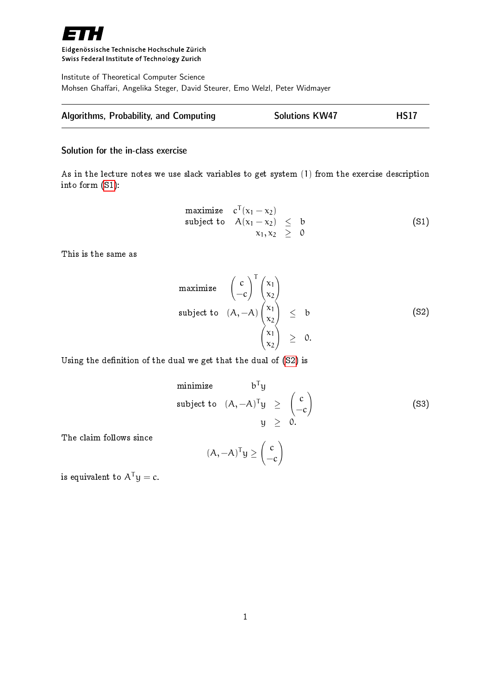

Eidgenössische Technische Hochschule Zürich Swiss Federal Institute of Technology Zurich

Institute of Theoretical Computer Science Mohsen Ghaffari, Angelika Steger, David Steurer, Emo Welzl, Peter Widmayer

| Algorithms, Probability, and Computing | <b>Solutions KW47</b> | <b>HS17</b> |
|----------------------------------------|-----------------------|-------------|
|                                        |                       |             |

## Solution for the in-class exercise

<span id="page-0-0"></span>As in the lecture notes we use slack variables to get system (1) from the exercise description into form [\(S1\)](#page-0-0):

maximize 
$$
c^T(x_1 - x_2)
$$
  
\nsubject to  $A(x_1 - x_2) \leq b$   
\n $x_1, x_2 \geq 0$  (S1)

This is the same as

maximize 
$$
\begin{pmatrix} c \\ -c \end{pmatrix}^T \begin{pmatrix} x_1 \\ x_2 \end{pmatrix}
$$
  
\nsubject to  $(A, -A) \begin{pmatrix} x_1 \\ x_2 \end{pmatrix} \leq b$   
\n $\begin{pmatrix} x_1 \\ x_2 \end{pmatrix} \geq 0.$  (S2)

Using the definition of the dual we get that the dual of [\(S2\)](#page-0-0) is

minimize 
$$
b^T y
$$
  
\nsubject to  $(A, -A)^T y \ge \begin{pmatrix} c \\ -c \end{pmatrix}$  (S3)  
\n $y \ge 0$ .

The claim follows since

$$
(A, -A)^{T}y \geq \begin{pmatrix} c \\ -c \end{pmatrix}
$$

is equivalent to  $A^{T}y = c$ .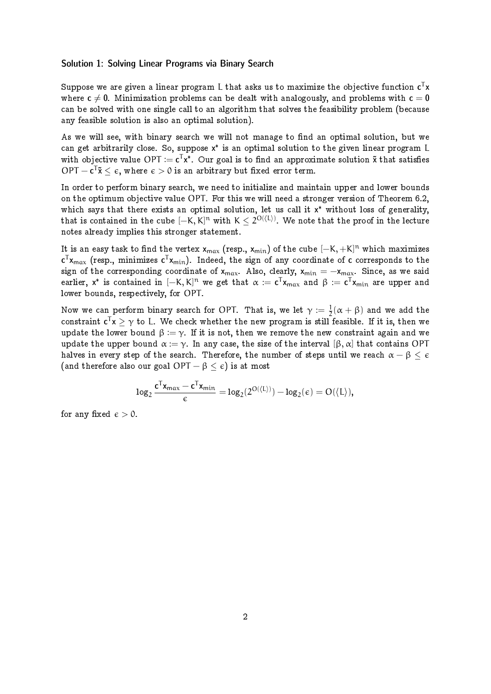## Solution 1: Solving Linear Programs via Binary Search

Suppose we are given a linear program L that asks us to maximize the objective function  $\textsf{c}^\intercal \textsf{x}$ where  $c \neq 0$ . Minimization problems can be dealt with analogously, and problems with  $c = 0$ can be solved with one single call to an algorithm that solves the feasibility problem (because any feasible solution is also an optimal solution).

As we will see, with binary search we will not manage to find an optimal solution, but we can get arbitrarily close. So, suppose x\* is an optimal solution to the given linear program L with objective value OPT :=  $\texttt{c}^\mathsf{T}\texttt{x}^*$ . Our goal is to find an approximate solution  $\tilde{\texttt{x}}$  that satisfies OPT  $-$  c<sup>T</sup> $\mathsf{\check{x}} \leq \epsilon$ , where  $\epsilon > 0$  is an arbitrary but fixed error term.

In order to perform binary search, we need to initialize and maintain upper and lower bounds on the optimum objective value OPT. For this we will need a stronger version of Theorem 6.2, which says that there exists an optimal solution, let us call it x\* without loss of generality, that is contained in the cube  $[-\mathrm{K},\mathrm{K}]^{\mathfrak{n}}$  with  $\mathrm{K}\leq 2^{\mathrm{O}(\langle\mathrm{L}\rangle)}.$  We note that the proof in the lecture notes already implies this stronger statement.

It is an easy task to find the vertex  $\mathsf{x}_{\max}$  (resp.,  $\mathsf{x}_{\min}$ ) of the <code>cube</code>  $[-\mathsf{K},+\mathsf{K}]^{\mathsf{n}}$  which maximizes  $\sf c^T x_{max}$  (resp., minimizes  $\sf c^T x_{min}$ ). Indeed, the sign of any coordinate of  $\sf c$  corresponds to the sign of the corresponding coordinate of  $x_{max}$ . Also, clearly,  $x_{min} = -x_{max}$ . Since, as we said earlier,  $\mathsf{x}^*$  is contained in  $[-\mathsf{K},\mathsf{K}]^{\mathsf{n}}$  we get that  $\alpha:=\mathsf{c}^\mathsf{T} \mathsf{x}_{\mathsf{max}}$  and  $\beta:=\mathsf{c}^\mathsf{T} \mathsf{x}_{\mathsf{min}}$  are upper and lower bounds, respectively, for OPT.

Now we can perform binary search for OPT. That is, we let  $\gamma \coloneqq \frac{1}{2}$  $\frac{1}{2}(\alpha + \beta)$  and we add the constraint  $\mathsf{c}^\mathsf{T} \mathsf{x} \ge \gamma$  to L. We check whether the new program is still feasible. If it is, then we update the lower bound  $\beta := \gamma$ . If it is not, then we remove the new constraint again and we update the upper bound  $\alpha := \gamma$ . In any case, the size of the interval  $[\beta, \alpha]$  that contains OPT halves in every step of the search. Therefore, the number of steps until we reach  $\alpha - \beta < \epsilon$ (and therefore also our goal OPT  $-\beta < \epsilon$ ) is at most

$$
\text{log}_2 \frac{\textbf{c}^T\textbf{x}_{max}-\textbf{c}^T\textbf{x}_{min}}{\varepsilon} = \text{log}_2(2^{O(\langle L \rangle)}) - \text{log}_2(\varepsilon) = O(\langle L \rangle),
$$

for any fixed  $\epsilon > 0$ .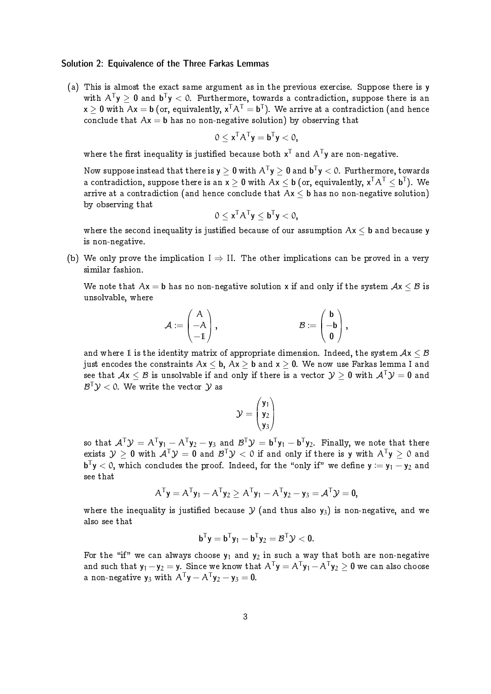## Solution 2: Equivalence of the Three Farkas Lemmas

(a) This is almost the exact same argument as in the previous exercise. Suppose there is y with  $A^{T}y \ge 0$  and  $b^{T}y < 0$ . Furthermore, towards a contradiction, suppose there is an  ${\sf x}\geq {\sf 0}$  with  $\mathsf{Ax}={\sf b}$  (or, equivalently,  ${\sf x}^{\mathsf{T}}\mathsf{A}^{\mathsf{T}}={\sf b}^{\mathsf{T}}).$  We arrive at a contradiction (and hence conclude that  $Ax = b$  has no non-negative solution) by observing that

$$
0\leq x^TA^Ty=\textbf{b}^Ty<0,
$$

where the first inequality is justified because both  $x^T$  and  $A^T$ y are non-negative.

Now suppose instead that there is **y**  $\geq$   $\bf 0$  with A<sup>T</sup>**y**  $\geq$   $\bf 0$  and <code>b<sup>T</sup>**y**  $<$  0. Furthermore, towards</code> a contradiction, suppose there is an  $\mathsf{x}\geq \mathsf{0}$  with  $\mathsf{A}\mathsf{x}\leq \mathsf{b}$  (or, equivalently,  $\mathsf{x}^{\mathsf{T}}\mathsf{A}^{\mathsf{T}}\leq \mathsf{b}^{\mathsf{T}})$ . We arrive at a contradiction (and hence conclude that  $Ax < b$  has no non-negative solution) by observing that

$$
0 \leq x^T A^T y \leq b^T y < 0,
$$

where the second inequality is justified because of our assumption  $Ax < b$  and because y is non-negative.

(b) We only prove the implication  $I \Rightarrow II$ . The other implications can be proved in a very similar fashion.

We note that  $Ax = b$  has no non-negative solution x if and only if the system  $Ax < B$  is unsolvable, where

$$
\mathcal{A}:=\begin{pmatrix} A\\ -A\\ -1 \end{pmatrix}, \hspace{2cm} \mathcal{B}:=\begin{pmatrix} \mathsf{b}\\ -\mathsf{b}\\ \mathsf{0} \end{pmatrix},
$$

and where 1 is the identity matrix of appropriate dimension. Indeed, the system  $Ax < B$ just encodes the constraints  $Ax < b$ ,  $Ax > b$  and  $x > 0$ . We now use Farkas lemma I and see that  $Ax < B$  is unsolvable if and only if there is a vector  $Y > 0$  with  $A^{T}Y = 0$  and  $\mathcal{B}^\mathsf{T}\mathcal{Y}<$  0. We write the vector  $\mathcal{Y}$  as

$$
\mathcal{Y} = \begin{pmatrix} \mathbf{y}_1 \\ \mathbf{y}_2 \\ \mathbf{y}_3 \end{pmatrix}
$$

so that  $\mathcal{A}^\top\mathcal{Y}=\mathcal{A}^\top\mathsf{y}_1-\mathcal{A}^\top\mathsf{y}_2-\mathsf{y}_3$  and  $\mathcal{B}^\top\mathcal{Y}=\mathsf{b}^\top\mathsf{y}_1-\mathsf{b}^\top\mathsf{y}_2.$  Finally, we note that there exists  $\mathcal{Y} \geq \mathbf{0}$  with  $\mathcal{A}^\top \mathcal{Y} = \mathbf{0}$  and  $\mathcal{B}^\top \mathcal{Y} < 0$  if and only if there is **y** with  $\mathcal{A}^\top \mathsf{y} \geq 0$  and  $\mathbf{b}^\mathsf{T} \mathbf{y} < 0,$  which concludes the proof. Indeed, for the "only if" we define  $\mathbf{y} := \mathbf{y}_1 - \mathbf{y}_2$  and see that

$$
A^T \mathbf{y} = A^T \mathbf{y}_1 - A^T \mathbf{y}_2 \ge A^T \mathbf{y}_1 - A^T \mathbf{y}_2 - \mathbf{y}_3 = A^T \mathcal{Y} = \mathbf{0},
$$

where the inequality is justified because  $\mathcal Y$  (and thus also  $\mathbf y_3$ ) is non-negative, and we also see that

$$
\mathbf{b}^T\mathbf{y} = \mathbf{b}^T\mathbf{y}_1 - \mathbf{b}^T\mathbf{y}_2 = \mathcal{B}^T\mathcal{Y} < 0.
$$

For the "if" we can always choose  $y_1$  and  $y_2$  in such a way that both are non-negative and such that  ${\sf y}_1-{\sf y}_2={\sf y}$ . Since we know that  ${\sf A}^{{\sf T}}{\sf y}={\sf A}^{{\sf T}}{\sf y}_1-{\sf A}^{{\sf T}}{\sf y}_2\geq{\sf 0}$  we can also choose a non-negative  $y_3$  with  $A^Ty - A^Ty_2 - y_3 = 0$ .